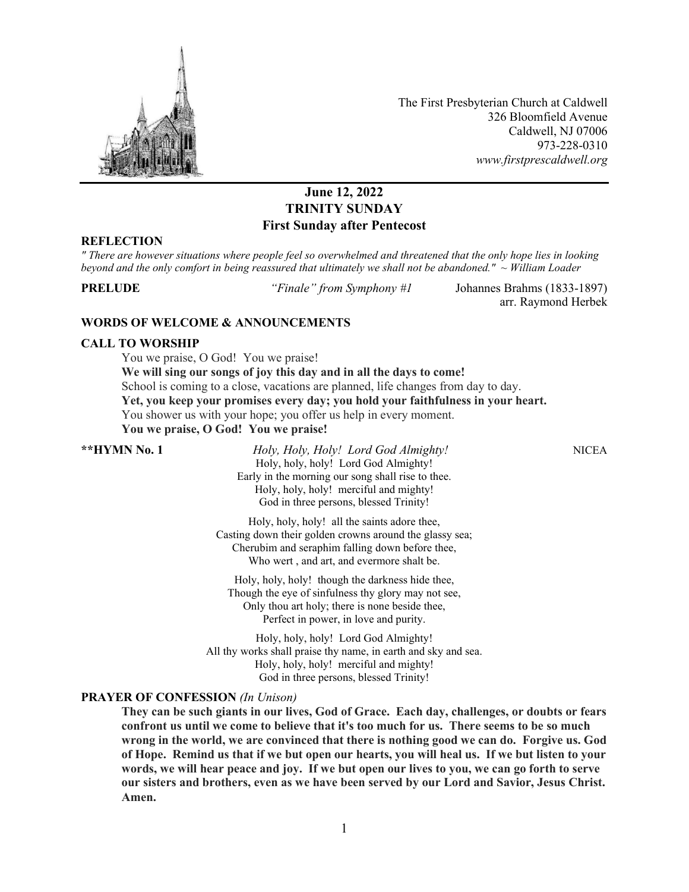

The First Presbyterian Church at Caldwell 326 Bloomfield Avenue Caldwell, NJ 07006 973-228-0310 *www.firstprescaldwell.org*

# **June 12, 2022 TRINITY SUNDAY First Sunday after Pentecost**

#### **REFLECTION**

*" There are however situations where people feel so overwhelmed and threatened that the only hope lies in looking beyond and the only comfort in being reassured that ultimately we shall not be abandoned." ~ William Loader*

**PRELUDE** *"Finale" from Symphony #1* Johannes Brahms (1833-1897) arr. Raymond Herbek

### **WORDS OF WELCOME & ANNOUNCEMENTS**

### **CALL TO WORSHIP**

You we praise, O God! You we praise! **We will sing our songs of joy this day and in all the days to come!** School is coming to a close, vacations are planned, life changes from day to day. **Yet, you keep your promises every day; you hold your faithfulness in your heart.** You shower us with your hope; you offer us help in every moment. **You we praise, O God! You we praise!**

**\*\*HYMN No. 1** *Holy, Holy, Holy! Lord God Almighty!* NICEA Holy, holy, holy! Lord God Almighty! Early in the morning our song shall rise to thee. Holy, holy, holy! merciful and mighty! God in three persons, blessed Trinity!

> Holy, holy, holy! all the saints adore thee, Casting down their golden crowns around the glassy sea; Cherubim and seraphim falling down before thee, Who wert , and art, and evermore shalt be.

Holy, holy, holy! though the darkness hide thee, Though the eye of sinfulness thy glory may not see, Only thou art holy; there is none beside thee, Perfect in power, in love and purity.

Holy, holy, holy! Lord God Almighty! All thy works shall praise thy name, in earth and sky and sea. Holy, holy, holy! merciful and mighty! God in three persons, blessed Trinity!

## **PRAYER OF CONFESSION** *(In Unison)*

**They can be such giants in our lives, God of Grace. Each day, challenges, or doubts or fears confront us until we come to believe that it's too much for us. There seems to be so much wrong in the world, we are convinced that there is nothing good we can do. Forgive us. God of Hope. Remind us that if we but open our hearts, you will heal us. If we but listen to your words, we will hear peace and joy. If we but open our lives to you, we can go forth to serve our sisters and brothers, even as we have been served by our Lord and Savior, Jesus Christ. Amen.**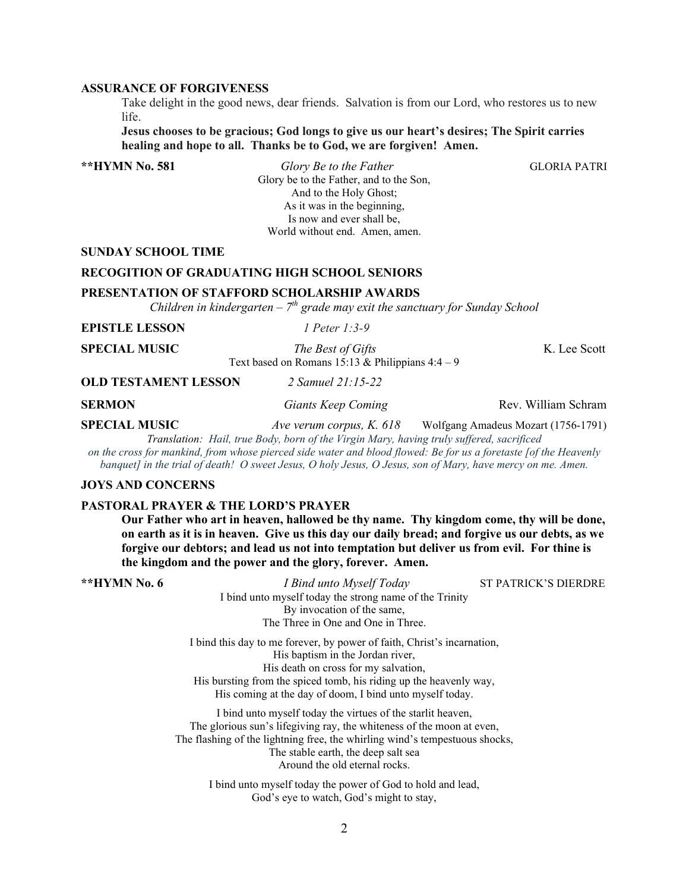## **ASSURANCE OF FORGIVENESS**

Take delight in the good news, dear friends. Salvation is from our Lord, who restores us to new life.

**Jesus chooses to be gracious; God longs to give us our heart's desires; The Spirit carries healing and hope to all. Thanks be to God, we are forgiven! Amen.** 

**\*\*HYMN No. 581** *Glory Be to the Father* GLORIA PATRIGlory be to the Father, and to the Son, And to the Holy Ghost; As it was in the beginning, Is now and ever shall be, World without end. Amen, amen.

#### **SUNDAY SCHOOL TIME**

## **RECOGITION OF GRADUATING HIGH SCHOOL SENIORS**

#### **PRESENTATION OF STAFFORD SCHOLARSHIP AWARDS**

*Children in kindergarten – 7th grade may exit the sanctuary for Sunday School*

| <b>EPISTLE LESSON</b>       | 1 Peter 1:3-9                                                         |              |
|-----------------------------|-----------------------------------------------------------------------|--------------|
| <b>SPECIAL MUSIC</b>        | The Best of Gifts<br>Text based on Romans 15:13 & Philippians $4:4-9$ | K. Lee Scott |
| <b>OLD TESTAMENT LESSON</b> | 2 Samuel 21:15-22                                                     |              |

**SERMON** *Giants Keep Coming* Rev. William Schram

**SPECIAL MUSIC** *Ave verum corpus, K. 618* Wolfgang Amadeus Mozart (1756-1791)

*Translation: Hail, true Body, born of the Virgin Mary, having truly suffered, sacrificed on the cross for mankind, from whose pierced side water and blood flowed: Be for us a foretaste [of the Heavenly banquet] in the trial of death! O sweet Jesus, O holy Jesus, O Jesus, son of Mary, have mercy on me. Amen.*

#### **JOYS AND CONCERNS**

#### **PASTORAL PRAYER & THE LORD'S PRAYER**

**Our Father who art in heaven, hallowed be thy name. Thy kingdom come, thy will be done, on earth as it is in heaven. Give us this day our daily bread; and forgive us our debts, as we forgive our debtors; and lead us not into temptation but deliver us from evil. For thine is the kingdom and the power and the glory, forever. Amen.**

| **HYMN No. 6 | I Bind unto Myself Today                                                    | <b>ST PATRICK'S DIERDRE</b> |
|--------------|-----------------------------------------------------------------------------|-----------------------------|
|              | I bind unto myself today the strong name of the Trinity                     |                             |
|              | By invocation of the same,                                                  |                             |
|              | The Three in One and One in Three.                                          |                             |
|              | I bind this day to me forever, by power of faith, Christ's incarnation,     |                             |
|              | His baptism in the Jordan river,                                            |                             |
|              | His death on cross for my salvation,                                        |                             |
|              | His bursting from the spiced tomb, his riding up the heavenly way,          |                             |
|              | His coming at the day of doom, I bind unto myself today.                    |                             |
|              | I bind unto myself today the virtues of the starlit heaven,                 |                             |
|              | The glorious sun's lifegiving ray, the whiteness of the moon at even,       |                             |
|              | The flashing of the lightning free, the whirling wind's tempestuous shocks, |                             |
|              |                                                                             |                             |

The stable earth, the deep salt sea Around the old eternal rocks.

I bind unto myself today the power of God to hold and lead, God's eye to watch, God's might to stay,